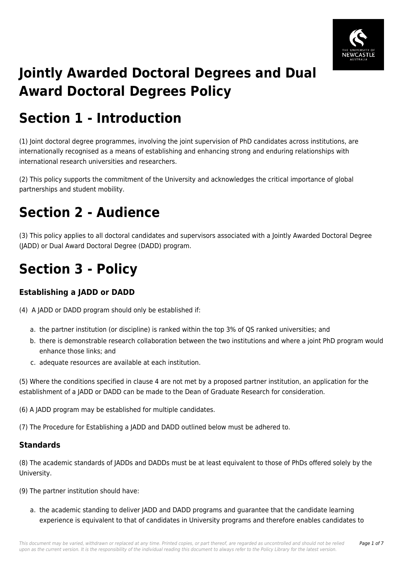

# **Jointly Awarded Doctoral Degrees and Dual Award Doctoral Degrees Policy**

# **Section 1 - Introduction**

(1) Joint doctoral degree programmes, involving the joint supervision of PhD candidates across institutions, are internationally recognised as a means of establishing and enhancing strong and enduring relationships with international research universities and researchers.

(2) This policy supports the commitment of the University and acknowledges the critical importance of global partnerships and student mobility.

# **Section 2 - Audience**

(3) This policy applies to all doctoral candidates and supervisors associated with a Jointly Awarded Doctoral Degree (JADD) or Dual Award Doctoral Degree (DADD) program.

# **Section 3 - Policy**

## **Establishing a JADD or DADD**

(4) A JADD or DADD program should only be established if:

- a. the partner institution (or discipline) is ranked within the top 3% of QS ranked universities; and
- b. there is demonstrable research collaboration between the two institutions and where a joint PhD program would enhance those links; and
- c. adequate resources are available at each institution.

(5) Where the conditions specified in clause 4 are not met by a proposed partner institution, an application for the establishment of a JADD or DADD can be made to the Dean of Graduate Research for consideration.

(6) A JADD program may be established for multiple candidates.

(7) The Procedure for Establishing a JADD and DADD outlined below must be adhered to.

## **Standards**

(8) The academic standards of JADDs and DADDs must be at least equivalent to those of PhDs offered solely by the University.

- (9) The partner institution should have:
	- a. the academic standing to deliver JADD and DADD programs and guarantee that the candidate learning experience is equivalent to that of candidates in University programs and therefore enables candidates to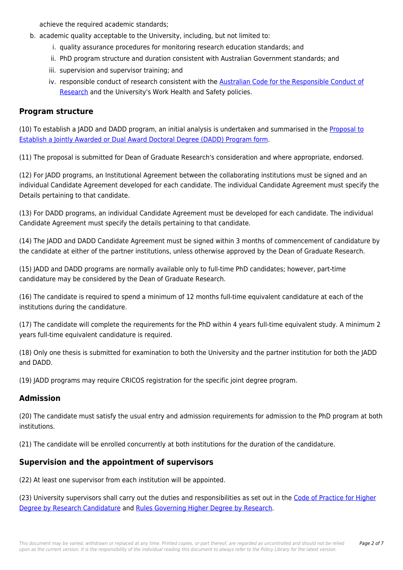achieve the required academic standards;

- b. academic quality acceptable to the University, including, but not limited to:
	- i. quality assurance procedures for monitoring research education standards; and
	- ii. PhD program structure and duration consistent with Australian Government standards; and
	- iii. supervision and supervisor training; and
	- iv. responsible conduct of research consistent with the [Australian Code for the Responsible Conduct of](https://policies.newcastle.edu.au/directory-summary.php?code=3) [Research](https://policies.newcastle.edu.au/directory-summary.php?code=3) and the University's Work Health and Safety policies.

#### **Program structure**

(10) To establish a JADD and DADD program, an initial analysis is undertaken and summarised in the [Proposal to](https://policies.newcastle.edu.au/download.php?id=311&version=4&associated) [Establish a Jointly Awarded or Dual Award Doctoral Degree \(DADD\) Program form.](https://policies.newcastle.edu.au/download.php?id=311&version=4&associated)

(11) The proposal is submitted for Dean of Graduate Research's consideration and where appropriate, endorsed.

(12) For JADD programs, an Institutional Agreement between the collaborating institutions must be signed and an individual Candidate Agreement developed for each candidate. The individual Candidate Agreement must specify the Details pertaining to that candidate.

(13) For DADD programs, an individual Candidate Agreement must be developed for each candidate. The individual Candidate Agreement must specify the details pertaining to that candidate.

(14) The JADD and DADD Candidate Agreement must be signed within 3 months of commencement of candidature by the candidate at either of the partner institutions, unless otherwise approved by the Dean of Graduate Research.

(15) JADD and DADD programs are normally available only to full-time PhD candidates; however, part-time candidature may be considered by the Dean of Graduate Research.

(16) The candidate is required to spend a minimum of 12 months full-time equivalent candidature at each of the institutions during the candidature.

(17) The candidate will complete the requirements for the PhD within 4 years full-time equivalent study. A minimum 2 years full-time equivalent candidature is required.

(18) Only one thesis is submitted for examination to both the University and the partner institution for both the JADD and DADD.

(19) JADD programs may require CRICOS registration for the specific joint degree program.

### **Admission**

(20) The candidate must satisfy the usual entry and admission requirements for admission to the PhD program at both institutions.

(21) The candidate will be enrolled concurrently at both institutions for the duration of the candidature.

### **Supervision and the appointment of supervisors**

(22) At least one supervisor from each institution will be appointed.

(23) University supervisors shall carry out the duties and responsibilities as set out in the [Code of Practice for Higher](https://policies.newcastle.edu.au/document/view-current.php?id=202) [Degree by Research Candidature](https://policies.newcastle.edu.au/document/view-current.php?id=202) and [Rules Governing Higher Degree by Research](https://policies.newcastle.edu.au/document/view-current.php?id=52).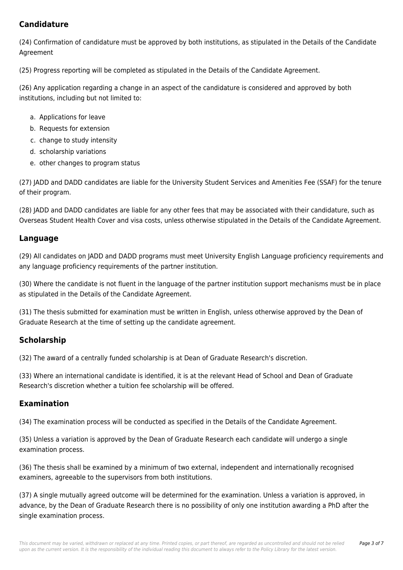## **Candidature**

(24) Confirmation of candidature must be approved by both institutions, as stipulated in the Details of the Candidate Agreement

(25) Progress reporting will be completed as stipulated in the Details of the Candidate Agreement.

(26) Any application regarding a change in an aspect of the candidature is considered and approved by both institutions, including but not limited to:

- a. Applications for leave
- b. Requests for extension
- c. change to study intensity
- d. scholarship variations
- e. other changes to program status

(27) JADD and DADD candidates are liable for the University Student Services and Amenities Fee (SSAF) for the tenure of their program.

(28) JADD and DADD candidates are liable for any other fees that may be associated with their candidature, such as Overseas Student Health Cover and visa costs, unless otherwise stipulated in the Details of the Candidate Agreement.

### **Language**

(29) All candidates on JADD and DADD programs must meet University English Language proficiency requirements and any language proficiency requirements of the partner institution.

(30) Where the candidate is not fluent in the language of the partner institution support mechanisms must be in place as stipulated in the Details of the Candidate Agreement.

(31) The thesis submitted for examination must be written in English, unless otherwise approved by the Dean of Graduate Research at the time of setting up the candidate agreement.

## **Scholarship**

(32) The award of a centrally funded scholarship is at Dean of Graduate Research's discretion.

(33) Where an international candidate is identified, it is at the relevant Head of School and Dean of Graduate Research's discretion whether a tuition fee scholarship will be offered.

## **Examination**

(34) The examination process will be conducted as specified in the Details of the Candidate Agreement.

(35) Unless a variation is approved by the Dean of Graduate Research each candidate will undergo a single examination process.

(36) The thesis shall be examined by a minimum of two external, independent and internationally recognised examiners, agreeable to the supervisors from both institutions.

(37) A single mutually agreed outcome will be determined for the examination. Unless a variation is approved, in advance, by the Dean of Graduate Research there is no possibility of only one institution awarding a PhD after the single examination process.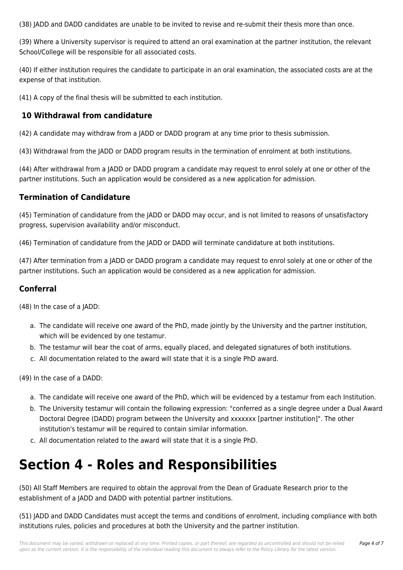(38) JADD and DADD candidates are unable to be invited to revise and re-submit their thesis more than once.

(39) Where a University supervisor is required to attend an oral examination at the partner institution, the relevant School/College will be responsible for all associated costs.

(40) If either institution requires the candidate to participate in an oral examination, the associated costs are at the expense of that institution.

(41) A copy of the final thesis will be submitted to each institution.

## **10 Withdrawal from candidature**

(42) A candidate may withdraw from a JADD or DADD program at any time prior to thesis submission.

(43) Withdrawal from the JADD or DADD program results in the termination of enrolment at both institutions.

(44) After withdrawal from a JADD or DADD program a candidate may request to enrol solely at one or other of the partner institutions. Such an application would be considered as a new application for admission.

## **Termination of Candidature**

(45) Termination of candidature from the JADD or DADD may occur, and is not limited to reasons of unsatisfactory progress, supervision availability and/or misconduct.

(46) Termination of candidature from the JADD or DADD will terminate candidature at both institutions.

(47) After termination from a JADD or DADD program a candidate may request to enrol solely at one or other of the partner institutions. Such an application would be considered as a new application for admission.

## **Conferral**

(48) In the case of a JADD:

- a. The candidate will receive one award of the PhD, made jointly by the University and the partner institution, which will be evidenced by one testamur.
- b. The testamur will bear the coat of arms, equally placed, and delegated signatures of both institutions.
- c. All documentation related to the award will state that it is a single PhD award.

(49) In the case of a DADD:

- a. The candidate will receive one award of the PhD, which will be evidenced by a testamur from each Institution.
- b. The University testamur will contain the following expression: "conferred as a single degree under a Dual Award Doctoral Degree (DADD) program between the University and xxxxxxx [partner institution]". The other institution's testamur will be required to contain similar information.
- c. All documentation related to the award will state that it is a single PhD.

## **Section 4 - Roles and Responsibilities**

(50) All Staff Members are required to obtain the approval from the Dean of Graduate Research prior to the establishment of a JADD and DADD with potential partner institutions.

(51) JADD and DADD Candidates must accept the terms and conditions of enrolment, including compliance with both institutions rules, policies and procedures at both the University and the partner institution.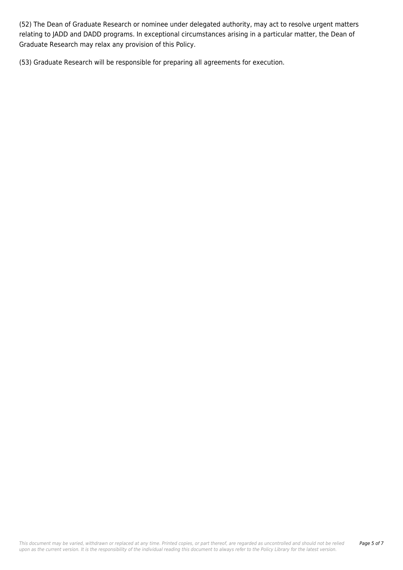(52) The Dean of Graduate Research or nominee under delegated authority, may act to resolve urgent matters relating to JADD and DADD programs. In exceptional circumstances arising in a particular matter, the Dean of Graduate Research may relax any provision of this Policy.

(53) Graduate Research will be responsible for preparing all agreements for execution.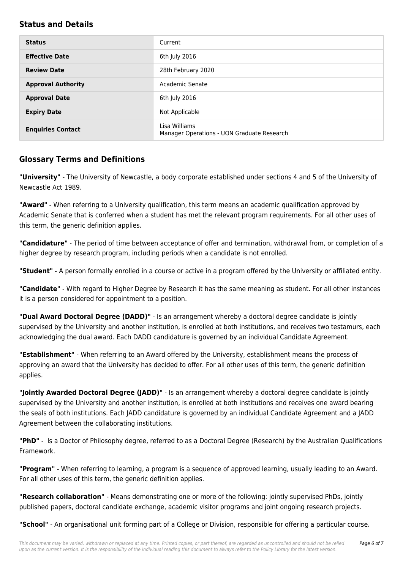### **Status and Details**

| <b>Status</b>             | Current                                                     |
|---------------------------|-------------------------------------------------------------|
| <b>Effective Date</b>     | 6th July 2016                                               |
| <b>Review Date</b>        | 28th February 2020                                          |
| <b>Approval Authority</b> | Academic Senate                                             |
| <b>Approval Date</b>      | 6th July 2016                                               |
| <b>Expiry Date</b>        | Not Applicable                                              |
| <b>Enquiries Contact</b>  | Lisa Williams<br>Manager Operations - UON Graduate Research |

### **Glossary Terms and Definitions**

**"University"** - The University of Newcastle, a body corporate established under sections 4 and 5 of the University of Newcastle Act 1989.

**"Award"** - When referring to a University qualification, this term means an academic qualification approved by Academic Senate that is conferred when a student has met the relevant program requirements. For all other uses of this term, the generic definition applies.

**"Candidature"** - The period of time between acceptance of offer and termination, withdrawal from, or completion of a higher degree by research program, including periods when a candidate is not enrolled.

**"Student"** - A person formally enrolled in a course or active in a program offered by the University or affiliated entity.

**"Candidate"** - With regard to Higher Degree by Research it has the same meaning as student. For all other instances it is a person considered for appointment to a position.

**"Dual Award Doctoral Degree (DADD)"** - Is an arrangement whereby a doctoral degree candidate is jointly supervised by the University and another institution, is enrolled at both institutions, and receives two testamurs, each acknowledging the dual award. Each DADD candidature is governed by an individual Candidate Agreement.

**"Establishment"** - When referring to an Award offered by the University, establishment means the process of approving an award that the University has decided to offer. For all other uses of this term, the generic definition applies.

**"Jointly Awarded Doctoral Degree (JADD)"** - Is an arrangement whereby a doctoral degree candidate is jointly supervised by the University and another institution, is enrolled at both institutions and receives one award bearing the seals of both institutions. Each JADD candidature is governed by an individual Candidate Agreement and a JADD Agreement between the collaborating institutions.

**"PhD"** - Is a Doctor of Philosophy degree, referred to as a Doctoral Degree (Research) by the Australian Qualifications Framework.

**"Program"** - When referring to learning, a program is a sequence of approved learning, usually leading to an Award. For all other uses of this term, the generic definition applies.

**"Research collaboration"** - Means demonstrating one or more of the following: jointly supervised PhDs, jointly published papers, doctoral candidate exchange, academic visitor programs and joint ongoing research projects.

**"School"** - An organisational unit forming part of a College or Division, responsible for offering a particular course.